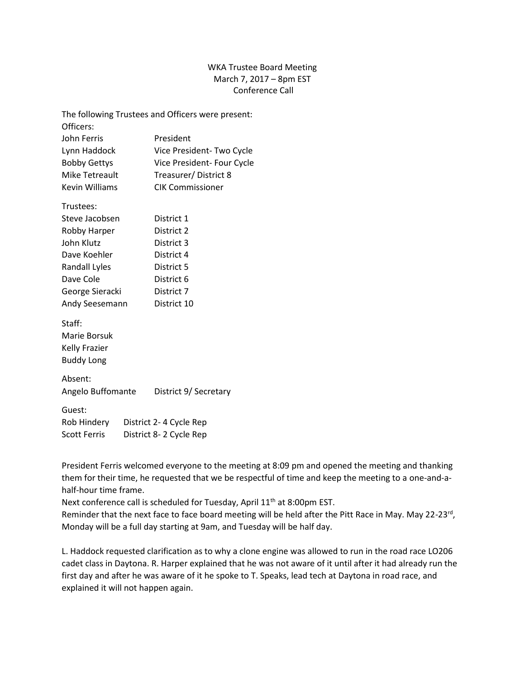## WKA Trustee Board Meeting March 7, 2017 – 8pm EST Conference Call

| The following Trustees and Officers were present: |  |                            |
|---------------------------------------------------|--|----------------------------|
| Officers:                                         |  |                            |
| <b>John Ferris</b>                                |  | President                  |
| Lynn Haddock                                      |  | Vice President-Two Cycle   |
| <b>Bobby Gettys</b>                               |  | Vice President- Four Cycle |
| <b>Mike Tetreault</b>                             |  | Treasurer/District 8       |
| <b>Kevin Williams</b>                             |  | <b>CIK Commissioner</b>    |
| Trustees:                                         |  |                            |
| Steve Jacobsen                                    |  | District 1                 |
| Robby Harper                                      |  | District 2                 |
| John Klutz                                        |  | District 3                 |
| Dave Koehler                                      |  | District 4                 |
| Randall Lyles                                     |  | District 5                 |
| Dave Cole                                         |  | District 6                 |
| George Sieracki                                   |  | District 7                 |
| Andy Seesemann                                    |  | District 10                |
| Staff:                                            |  |                            |
| <b>Marie Borsuk</b>                               |  |                            |
| <b>Kelly Frazier</b>                              |  |                            |
| <b>Buddy Long</b>                                 |  |                            |
| Absent:                                           |  |                            |
| Angelo Buffomante                                 |  | District 9/ Secretary      |
| Guest:                                            |  |                            |
| Rob Hindery<br>District 2-4 Cycle Rep             |  |                            |
| <b>Scott Ferris</b><br>District 8-2 Cycle Rep     |  |                            |

President Ferris welcomed everyone to the meeting at 8:09 pm and opened the meeting and thanking them for their time, he requested that we be respectful of time and keep the meeting to a one-and-ahalf-hour time frame.

Next conference call is scheduled for Tuesday, April 11<sup>th</sup> at 8:00pm EST.

Reminder that the next face to face board meeting will be held after the Pitt Race in May. May 22-23<sup>rd</sup>, Monday will be a full day starting at 9am, and Tuesday will be half day.

L. Haddock requested clarification as to why a clone engine was allowed to run in the road race LO206 cadet class in Daytona. R. Harper explained that he was not aware of it until after it had already run the first day and after he was aware of it he spoke to T. Speaks, lead tech at Daytona in road race, and explained it will not happen again.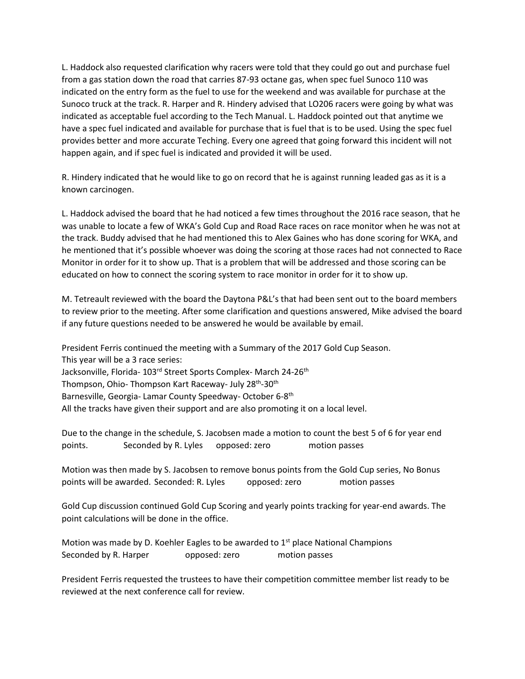L. Haddock also requested clarification why racers were told that they could go out and purchase fuel from a gas station down the road that carries 87-93 octane gas, when spec fuel Sunoco 110 was indicated on the entry form as the fuel to use for the weekend and was available for purchase at the Sunoco truck at the track. R. Harper and R. Hindery advised that LO206 racers were going by what was indicated as acceptable fuel according to the Tech Manual. L. Haddock pointed out that anytime we have a spec fuel indicated and available for purchase that is fuel that is to be used. Using the spec fuel provides better and more accurate Teching. Every one agreed that going forward this incident will not happen again, and if spec fuel is indicated and provided it will be used.

R. Hindery indicated that he would like to go on record that he is against running leaded gas as it is a known carcinogen.

L. Haddock advised the board that he had noticed a few times throughout the 2016 race season, that he was unable to locate a few of WKA's Gold Cup and Road Race races on race monitor when he was not at the track. Buddy advised that he had mentioned this to Alex Gaines who has done scoring for WKA, and he mentioned that it's possible whoever was doing the scoring at those races had not connected to Race Monitor in order for it to show up. That is a problem that will be addressed and those scoring can be educated on how to connect the scoring system to race monitor in order for it to show up.

M. Tetreault reviewed with the board the Daytona P&L's that had been sent out to the board members to review prior to the meeting. After some clarification and questions answered, Mike advised the board if any future questions needed to be answered he would be available by email.

President Ferris continued the meeting with a Summary of the 2017 Gold Cup Season. This year will be a 3 race series: Jacksonville, Florida- 103rd Street Sports Complex- March 24-26<sup>th</sup> Thompson, Ohio- Thompson Kart Raceway- July 28<sup>th</sup>-30<sup>th</sup> Barnesville, Georgia- Lamar County Speedway- October 6-8<sup>th</sup> All the tracks have given their support and are also promoting it on a local level.

Due to the change in the schedule, S. Jacobsen made a motion to count the best 5 of 6 for year end points. Seconded by R. Lyles opposed: zero motion passes

Motion was then made by S. Jacobsen to remove bonus points from the Gold Cup series, No Bonus points will be awarded. Seconded: R. Lyles opposed: zero motion passes

Gold Cup discussion continued Gold Cup Scoring and yearly points tracking for year-end awards. The point calculations will be done in the office.

Motion was made by D. Koehler Eagles to be awarded to  $1<sup>st</sup>$  place National Champions Seconded by R. Harper opposed: zero motion passes

President Ferris requested the trustees to have their competition committee member list ready to be reviewed at the next conference call for review.